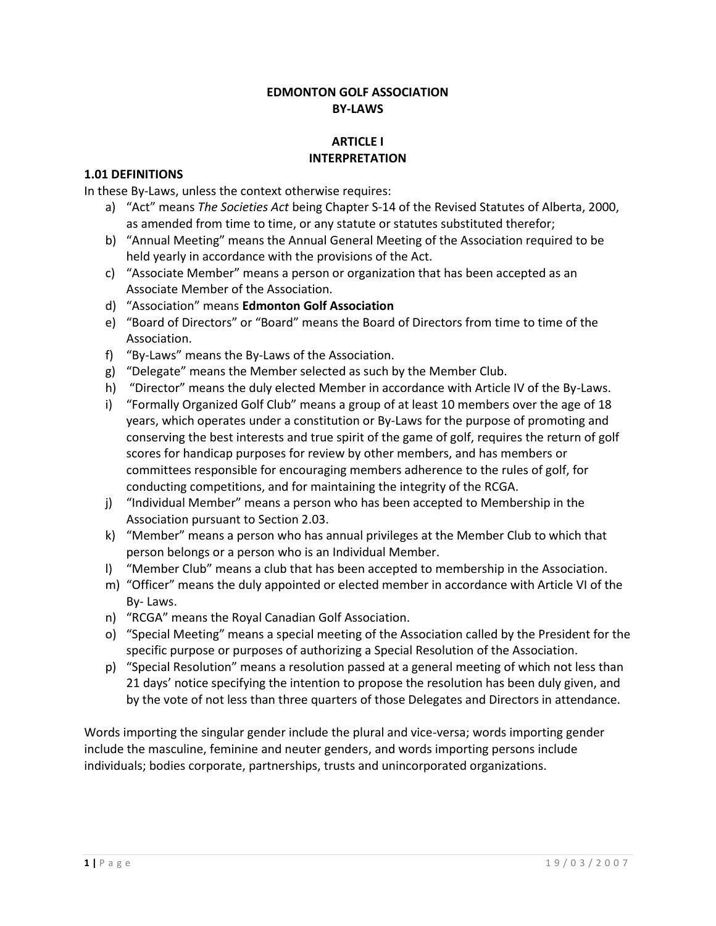## **EDMONTON GOLF ASSOCIATION BY-LAWS**

## **ARTICLE I INTERPRETATION**

## **1.01 DEFINITIONS**

In these By-Laws, unless the context otherwise requires:

- a) "Act" means *The Societies Act* being Chapter S-14 of the Revised Statutes of Alberta, 2000, as amended from time to time, or any statute or statutes substituted therefor;
- b) "Annual Meeting" means the Annual General Meeting of the Association required to be held yearly in accordance with the provisions of the Act.
- c) "Associate Member" means a person or organization that has been accepted as an Associate Member of the Association.
- d) "Association" means **Edmonton Golf Association**
- e) "Board of Directors" or "Board" means the Board of Directors from time to time of the Association.
- f) "By-Laws" means the By-Laws of the Association.
- g) "Delegate" means the Member selected as such by the Member Club.
- h) "Director" means the duly elected Member in accordance with Article IV of the By-Laws.
- i) "Formally Organized Golf Club" means a group of at least 10 members over the age of 18 years, which operates under a constitution or By-Laws for the purpose of promoting and conserving the best interests and true spirit of the game of golf, requires the return of golf scores for handicap purposes for review by other members, and has members or committees responsible for encouraging members adherence to the rules of golf, for conducting competitions, and for maintaining the integrity of the RCGA.
- j) "Individual Member" means a person who has been accepted to Membership in the Association pursuant to Section 2.03.
- k) "Member" means a person who has annual privileges at the Member Club to which that person belongs or a person who is an Individual Member.
- l) "Member Club" means a club that has been accepted to membership in the Association.
- m) "Officer" means the duly appointed or elected member in accordance with Article VI of the By- Laws.
- n) "RCGA" means the Royal Canadian Golf Association.
- o) "Special Meeting" means a special meeting of the Association called by the President for the specific purpose or purposes of authorizing a Special Resolution of the Association.
- p) "Special Resolution" means a resolution passed at a general meeting of which not less than 21 days' notice specifying the intention to propose the resolution has been duly given, and by the vote of not less than three quarters of those Delegates and Directors in attendance.

Words importing the singular gender include the plural and vice-versa; words importing gender include the masculine, feminine and neuter genders, and words importing persons include individuals; bodies corporate, partnerships, trusts and unincorporated organizations.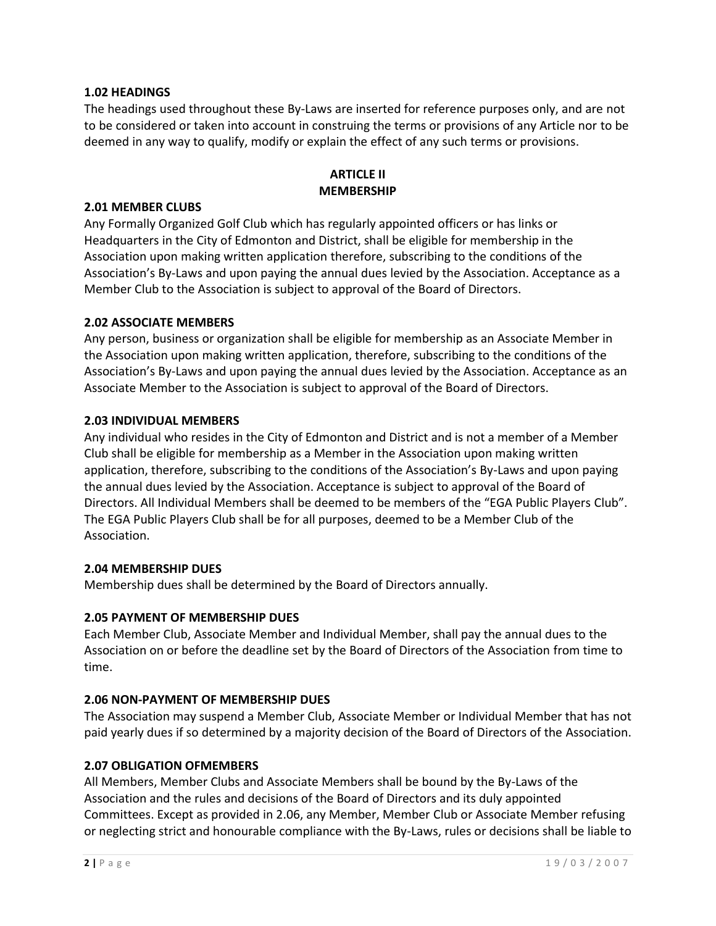## **1.02 HEADINGS**

The headings used throughout these By-Laws are inserted for reference purposes only, and are not to be considered or taken into account in construing the terms or provisions of any Article nor to be deemed in any way to qualify, modify or explain the effect of any such terms or provisions.

## **ARTICLE II MEMBERSHIP**

#### **2.01 MEMBER CLUBS**

Any Formally Organized Golf Club which has regularly appointed officers or has links or Headquarters in the City of Edmonton and District, shall be eligible for membership in the Association upon making written application therefore, subscribing to the conditions of the Association's By-Laws and upon paying the annual dues levied by the Association. Acceptance as a Member Club to the Association is subject to approval of the Board of Directors.

#### **2.02 ASSOCIATE MEMBERS**

Any person, business or organization shall be eligible for membership as an Associate Member in the Association upon making written application, therefore, subscribing to the conditions of the Association's By-Laws and upon paying the annual dues levied by the Association. Acceptance as an Associate Member to the Association is subject to approval of the Board of Directors.

#### **2.03 INDIVIDUAL MEMBERS**

Any individual who resides in the City of Edmonton and District and is not a member of a Member Club shall be eligible for membership as a Member in the Association upon making written application, therefore, subscribing to the conditions of the Association's By-Laws and upon paying the annual dues levied by the Association. Acceptance is subject to approval of the Board of Directors. All Individual Members shall be deemed to be members of the "EGA Public Players Club". The EGA Public Players Club shall be for all purposes, deemed to be a Member Club of the Association.

#### **2.04 MEMBERSHIP DUES**

Membership dues shall be determined by the Board of Directors annually.

#### **2.05 PAYMENT OF MEMBERSHIP DUES**

Each Member Club, Associate Member and Individual Member, shall pay the annual dues to the Association on or before the deadline set by the Board of Directors of the Association from time to time.

#### **2.06 NON-PAYMENT OF MEMBERSHIP DUES**

The Association may suspend a Member Club, Associate Member or Individual Member that has not paid yearly dues if so determined by a majority decision of the Board of Directors of the Association.

#### **2.07 OBLIGATION OFMEMBERS**

All Members, Member Clubs and Associate Members shall be bound by the By-Laws of the Association and the rules and decisions of the Board of Directors and its duly appointed Committees. Except as provided in 2.06, any Member, Member Club or Associate Member refusing or neglecting strict and honourable compliance with the By-Laws, rules or decisions shall be liable to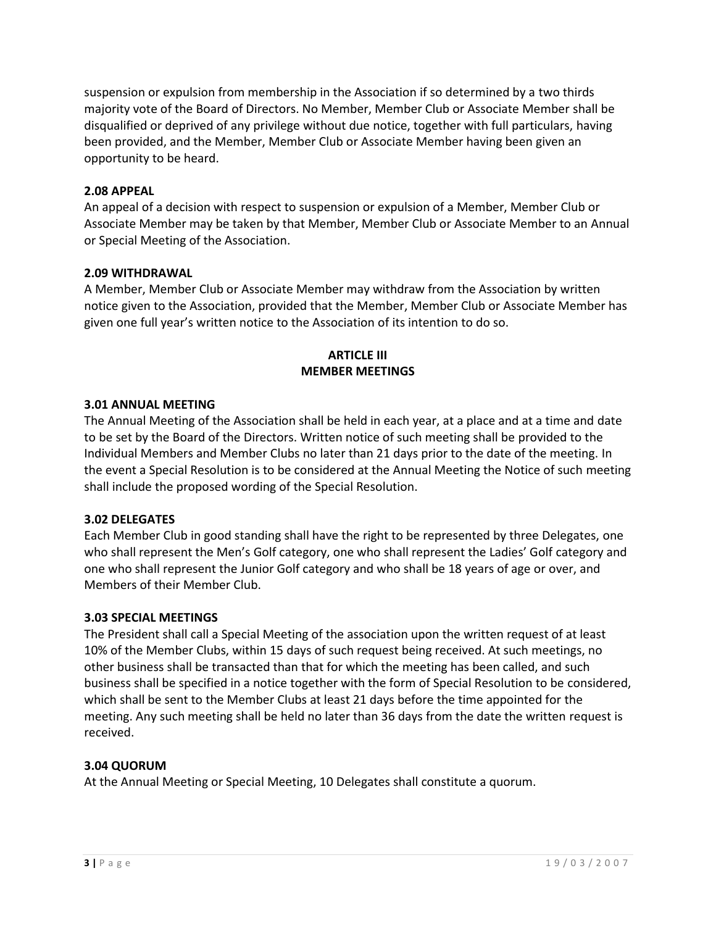suspension or expulsion from membership in the Association if so determined by a two thirds majority vote of the Board of Directors. No Member, Member Club or Associate Member shall be disqualified or deprived of any privilege without due notice, together with full particulars, having been provided, and the Member, Member Club or Associate Member having been given an opportunity to be heard.

### **2.08 APPEAL**

An appeal of a decision with respect to suspension or expulsion of a Member, Member Club or Associate Member may be taken by that Member, Member Club or Associate Member to an Annual or Special Meeting of the Association.

### **2.09 WITHDRAWAL**

A Member, Member Club or Associate Member may withdraw from the Association by written notice given to the Association, provided that the Member, Member Club or Associate Member has given one full year's written notice to the Association of its intention to do so.

## **ARTICLE III MEMBER MEETINGS**

### **3.01 ANNUAL MEETING**

The Annual Meeting of the Association shall be held in each year, at a place and at a time and date to be set by the Board of the Directors. Written notice of such meeting shall be provided to the Individual Members and Member Clubs no later than 21 days prior to the date of the meeting. In the event a Special Resolution is to be considered at the Annual Meeting the Notice of such meeting shall include the proposed wording of the Special Resolution.

#### **3.02 DELEGATES**

Each Member Club in good standing shall have the right to be represented by three Delegates, one who shall represent the Men's Golf category, one who shall represent the Ladies' Golf category and one who shall represent the Junior Golf category and who shall be 18 years of age or over, and Members of their Member Club.

#### **3.03 SPECIAL MEETINGS**

The President shall call a Special Meeting of the association upon the written request of at least 10% of the Member Clubs, within 15 days of such request being received. At such meetings, no other business shall be transacted than that for which the meeting has been called, and such business shall be specified in a notice together with the form of Special Resolution to be considered, which shall be sent to the Member Clubs at least 21 days before the time appointed for the meeting. Any such meeting shall be held no later than 36 days from the date the written request is received.

## **3.04 QUORUM**

At the Annual Meeting or Special Meeting, 10 Delegates shall constitute a quorum.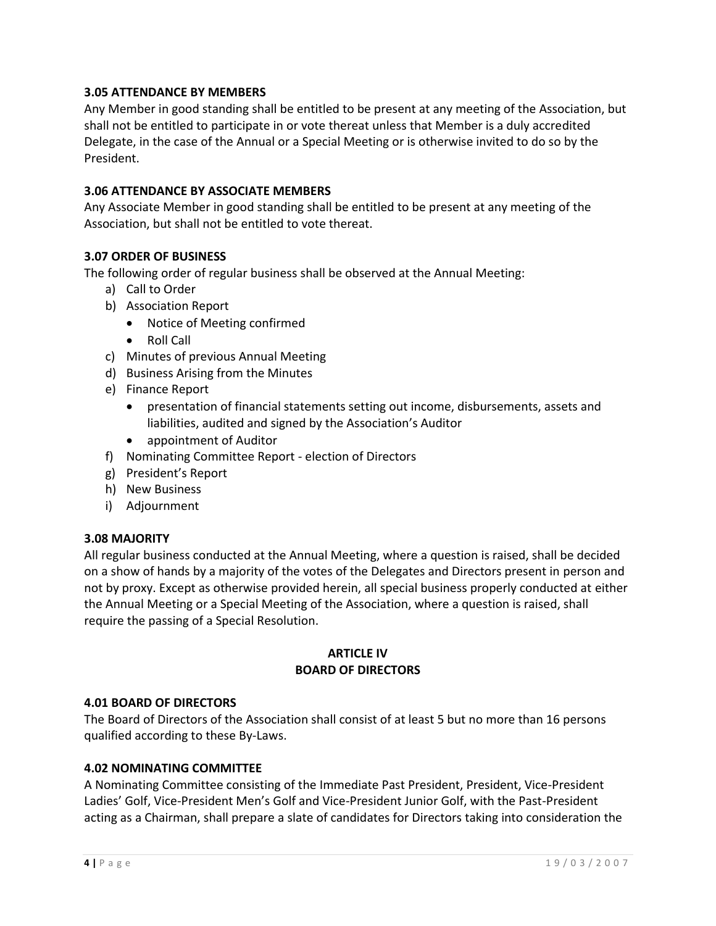## **3.05 ATTENDANCE BY MEMBERS**

Any Member in good standing shall be entitled to be present at any meeting of the Association, but shall not be entitled to participate in or vote thereat unless that Member is a duly accredited Delegate, in the case of the Annual or a Special Meeting or is otherwise invited to do so by the President.

## **3.06 ATTENDANCE BY ASSOCIATE MEMBERS**

Any Associate Member in good standing shall be entitled to be present at any meeting of the Association, but shall not be entitled to vote thereat.

### **3.07 ORDER OF BUSINESS**

The following order of regular business shall be observed at the Annual Meeting:

- a) Call to Order
- b) Association Report
	- Notice of Meeting confirmed
	- Roll Call
- c) Minutes of previous Annual Meeting
- d) Business Arising from the Minutes
- e) Finance Report
	- presentation of financial statements setting out income, disbursements, assets and liabilities, audited and signed by the Association's Auditor
	- appointment of Auditor
- f) Nominating Committee Report election of Directors
- g) President's Report
- h) New Business
- i) Adjournment

#### **3.08 MAJORITY**

All regular business conducted at the Annual Meeting, where a question is raised, shall be decided on a show of hands by a majority of the votes of the Delegates and Directors present in person and not by proxy. Except as otherwise provided herein, all special business properly conducted at either the Annual Meeting or a Special Meeting of the Association, where a question is raised, shall require the passing of a Special Resolution.

### **ARTICLE IV BOARD OF DIRECTORS**

#### **4.01 BOARD OF DIRECTORS**

The Board of Directors of the Association shall consist of at least 5 but no more than 16 persons qualified according to these By-Laws.

#### **4.02 NOMINATING COMMITTEE**

A Nominating Committee consisting of the Immediate Past President, President, Vice-President Ladies' Golf, Vice-President Men's Golf and Vice-President Junior Golf, with the Past-President acting as a Chairman, shall prepare a slate of candidates for Directors taking into consideration the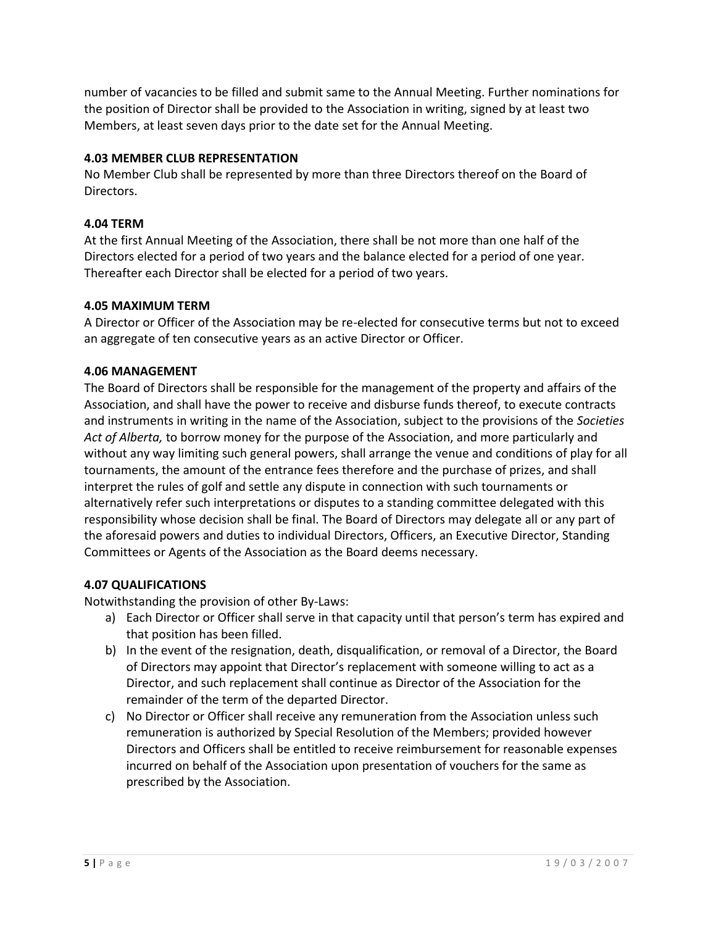number of vacancies to be filled and submit same to the Annual Meeting. Further nominations for the position of Director shall be provided to the Association in writing, signed by at least two Members, at least seven days prior to the date set for the Annual Meeting.

# **4.03 MEMBER CLUB REPRESENTATION**

No Member Club shall be represented by more than three Directors thereof on the Board of Directors.

## **4.04 TERM**

At the first Annual Meeting of the Association, there shall be not more than one half of the Directors elected for a period of two years and the balance elected for a period of one year. Thereafter each Director shall be elected for a period of two years.

## **4.05 MAXIMUM TERM**

A Director or Officer of the Association may be re-elected for consecutive terms but not to exceed an aggregate of ten consecutive years as an active Director or Officer.

## **4.06 MANAGEMENT**

The Board of Directors shall be responsible for the management of the property and affairs of the Association, and shall have the power to receive and disburse funds thereof, to execute contracts and instruments in writing in the name of the Association, subject to the provisions of the *Societies Act of Alberta,* to borrow money for the purpose of the Association, and more particularly and without any way limiting such general powers, shall arrange the venue and conditions of play for all tournaments, the amount of the entrance fees therefore and the purchase of prizes, and shall interpret the rules of golf and settle any dispute in connection with such tournaments or alternatively refer such interpretations or disputes to a standing committee delegated with this responsibility whose decision shall be final. The Board of Directors may delegate all or any part of the aforesaid powers and duties to individual Directors, Officers, an Executive Director, Standing Committees or Agents of the Association as the Board deems necessary.

# **4.07 QUALIFICATIONS**

Notwithstanding the provision of other By-Laws:

- a) Each Director or Officer shall serve in that capacity until that person's term has expired and that position has been filled.
- b) In the event of the resignation, death, disqualification, or removal of a Director, the Board of Directors may appoint that Director's replacement with someone willing to act as a Director, and such replacement shall continue as Director of the Association for the remainder of the term of the departed Director.
- c) No Director or Officer shall receive any remuneration from the Association unless such remuneration is authorized by Special Resolution of the Members; provided however Directors and Officers shall be entitled to receive reimbursement for reasonable expenses incurred on behalf of the Association upon presentation of vouchers for the same as prescribed by the Association.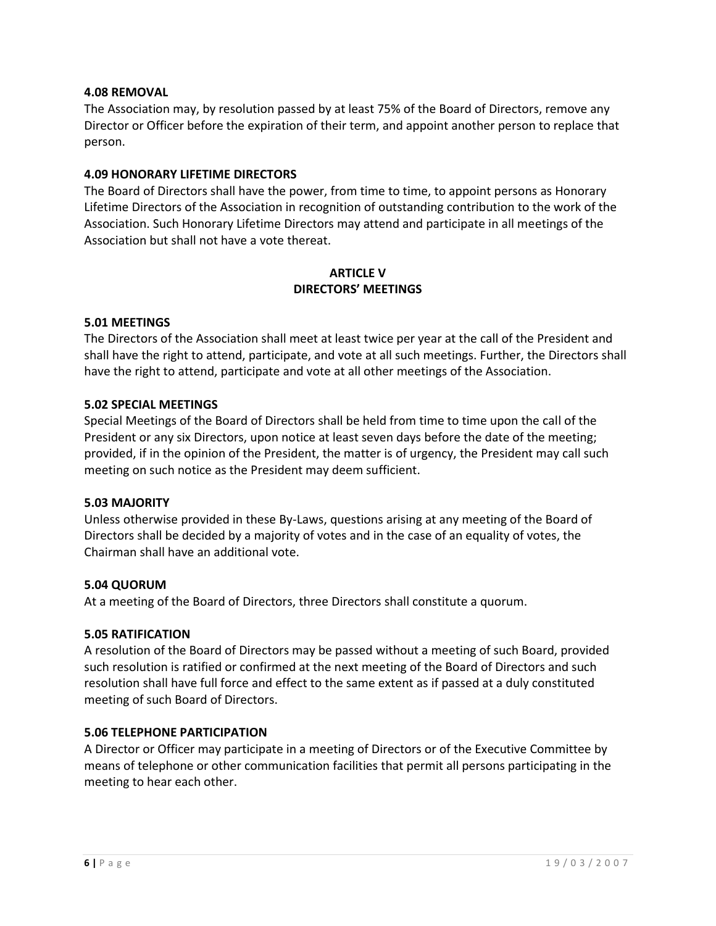### **4.08 REMOVAL**

The Association may, by resolution passed by at least 75% of the Board of Directors, remove any Director or Officer before the expiration of their term, and appoint another person to replace that person.

## **4.09 HONORARY LIFETIME DIRECTORS**

The Board of Directors shall have the power, from time to time, to appoint persons as Honorary Lifetime Directors of the Association in recognition of outstanding contribution to the work of the Association. Such Honorary Lifetime Directors may attend and participate in all meetings of the Association but shall not have a vote thereat.

## **ARTICLE V DIRECTORS' MEETINGS**

### **5.01 MEETINGS**

The Directors of the Association shall meet at least twice per year at the call of the President and shall have the right to attend, participate, and vote at all such meetings. Further, the Directors shall have the right to attend, participate and vote at all other meetings of the Association.

### **5.02 SPECIAL MEETINGS**

Special Meetings of the Board of Directors shall be held from time to time upon the call of the President or any six Directors, upon notice at least seven days before the date of the meeting; provided, if in the opinion of the President, the matter is of urgency, the President may call such meeting on such notice as the President may deem sufficient.

#### **5.03 MAJORITY**

Unless otherwise provided in these By-Laws, questions arising at any meeting of the Board of Directors shall be decided by a majority of votes and in the case of an equality of votes, the Chairman shall have an additional vote.

#### **5.04 QUORUM**

At a meeting of the Board of Directors, three Directors shall constitute a quorum.

#### **5.05 RATIFICATION**

A resolution of the Board of Directors may be passed without a meeting of such Board, provided such resolution is ratified or confirmed at the next meeting of the Board of Directors and such resolution shall have full force and effect to the same extent as if passed at a duly constituted meeting of such Board of Directors.

#### **5.06 TELEPHONE PARTICIPATION**

A Director or Officer may participate in a meeting of Directors or of the Executive Committee by means of telephone or other communication facilities that permit all persons participating in the meeting to hear each other.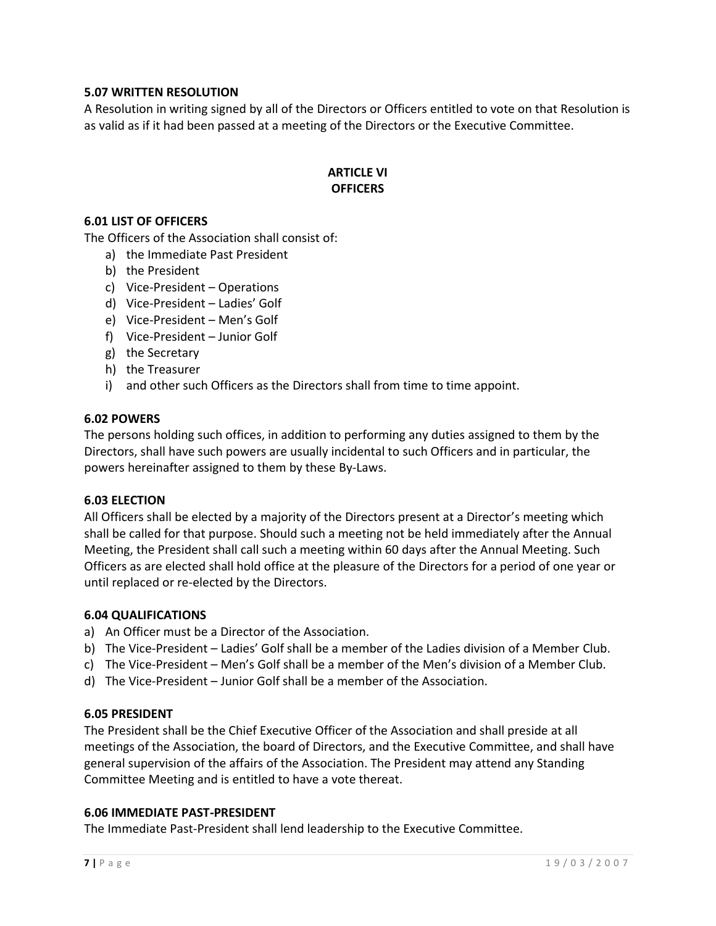## **5.07 WRITTEN RESOLUTION**

A Resolution in writing signed by all of the Directors or Officers entitled to vote on that Resolution is as valid as if it had been passed at a meeting of the Directors or the Executive Committee.

## **ARTICLE VI OFFICERS**

#### **6.01 LIST OF OFFICERS**

The Officers of the Association shall consist of:

- a) the Immediate Past President
- b) the President
- c) Vice-President Operations
- d) Vice-President Ladies' Golf
- e) Vice-President Men's Golf
- f) Vice-President Junior Golf
- g) the Secretary
- h) the Treasurer
- i) and other such Officers as the Directors shall from time to time appoint.

#### **6.02 POWERS**

The persons holding such offices, in addition to performing any duties assigned to them by the Directors, shall have such powers are usually incidental to such Officers and in particular, the powers hereinafter assigned to them by these By-Laws.

#### **6.03 ELECTION**

All Officers shall be elected by a majority of the Directors present at a Director's meeting which shall be called for that purpose. Should such a meeting not be held immediately after the Annual Meeting, the President shall call such a meeting within 60 days after the Annual Meeting. Such Officers as are elected shall hold office at the pleasure of the Directors for a period of one year or until replaced or re-elected by the Directors.

#### **6.04 QUALIFICATIONS**

- a) An Officer must be a Director of the Association.
- b) The Vice-President Ladies' Golf shall be a member of the Ladies division of a Member Club.
- c) The Vice-President Men's Golf shall be a member of the Men's division of a Member Club.
- d) The Vice-President Junior Golf shall be a member of the Association.

#### **6.05 PRESIDENT**

The President shall be the Chief Executive Officer of the Association and shall preside at all meetings of the Association, the board of Directors, and the Executive Committee, and shall have general supervision of the affairs of the Association. The President may attend any Standing Committee Meeting and is entitled to have a vote thereat.

#### **6.06 IMMEDIATE PAST-PRESIDENT**

The Immediate Past-President shall lend leadership to the Executive Committee.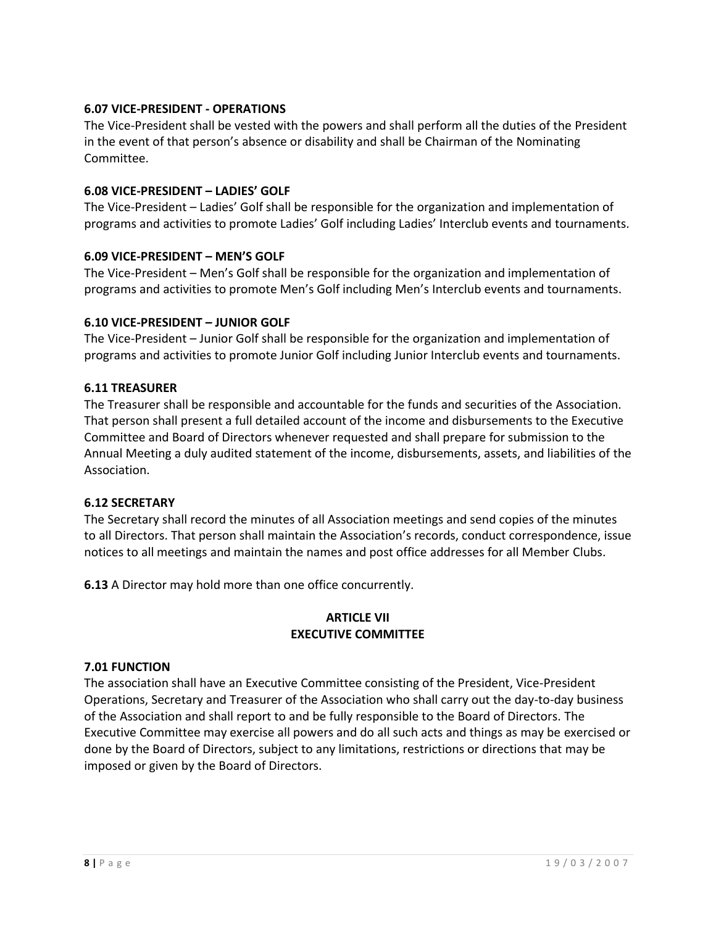# **6.07 VICE-PRESIDENT - OPERATIONS**

The Vice-President shall be vested with the powers and shall perform all the duties of the President in the event of that person's absence or disability and shall be Chairman of the Nominating Committee.

## **6.08 VICE-PRESIDENT – LADIES' GOLF**

The Vice-President – Ladies' Golf shall be responsible for the organization and implementation of programs and activities to promote Ladies' Golf including Ladies' Interclub events and tournaments.

### **6.09 VICE-PRESIDENT – MEN'S GOLF**

The Vice-President – Men's Golf shall be responsible for the organization and implementation of programs and activities to promote Men's Golf including Men's Interclub events and tournaments.

### **6.10 VICE-PRESIDENT – JUNIOR GOLF**

The Vice-President – Junior Golf shall be responsible for the organization and implementation of programs and activities to promote Junior Golf including Junior Interclub events and tournaments.

### **6.11 TREASURER**

The Treasurer shall be responsible and accountable for the funds and securities of the Association. That person shall present a full detailed account of the income and disbursements to the Executive Committee and Board of Directors whenever requested and shall prepare for submission to the Annual Meeting a duly audited statement of the income, disbursements, assets, and liabilities of the Association.

## **6.12 SECRETARY**

The Secretary shall record the minutes of all Association meetings and send copies of the minutes to all Directors. That person shall maintain the Association's records, conduct correspondence, issue notices to all meetings and maintain the names and post office addresses for all Member Clubs.

**6.13** A Director may hold more than one office concurrently.

## **ARTICLE VII EXECUTIVE COMMITTEE**

#### **7.01 FUNCTION**

The association shall have an Executive Committee consisting of the President, Vice-President Operations, Secretary and Treasurer of the Association who shall carry out the day-to-day business of the Association and shall report to and be fully responsible to the Board of Directors. The Executive Committee may exercise all powers and do all such acts and things as may be exercised or done by the Board of Directors, subject to any limitations, restrictions or directions that may be imposed or given by the Board of Directors.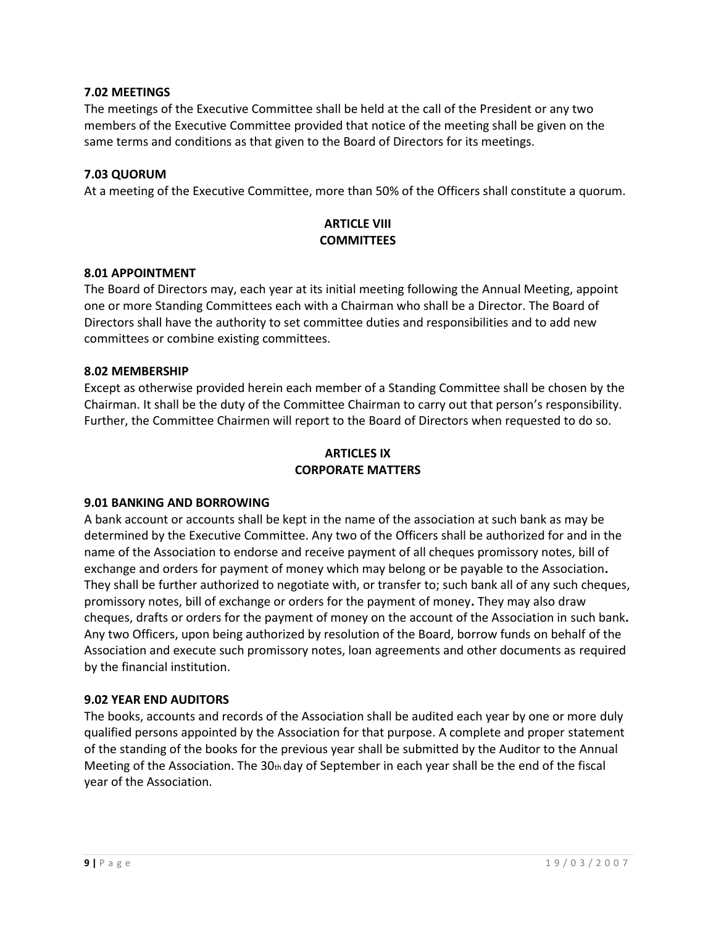## **7.02 MEETINGS**

The meetings of the Executive Committee shall be held at the call of the President or any two members of the Executive Committee provided that notice of the meeting shall be given on the same terms and conditions as that given to the Board of Directors for its meetings.

## **7.03 QUORUM**

At a meeting of the Executive Committee, more than 50% of the Officers shall constitute a quorum.

# **ARTICLE VIII COMMITTEES**

#### **8.01 APPOINTMENT**

The Board of Directors may, each year at its initial meeting following the Annual Meeting, appoint one or more Standing Committees each with a Chairman who shall be a Director. The Board of Directors shall have the authority to set committee duties and responsibilities and to add new committees or combine existing committees.

### **8.02 MEMBERSHIP**

Except as otherwise provided herein each member of a Standing Committee shall be chosen by the Chairman. It shall be the duty of the Committee Chairman to carry out that person's responsibility. Further, the Committee Chairmen will report to the Board of Directors when requested to do so.

# **ARTICLES IX CORPORATE MATTERS**

## **9.01 BANKING AND BORROWING**

A bank account or accounts shall be kept in the name of the association at such bank as may be determined by the Executive Committee. Any two of the Officers shall be authorized for and in the name of the Association to endorse and receive payment of all cheques promissory notes, bill of exchange and orders for payment of money which may belong or be payable to the Association**.** They shall be further authorized to negotiate with, or transfer to; such bank all of any such cheques, promissory notes, bill of exchange or orders for the payment of money**.** They may also draw cheques, drafts or orders for the payment of money on the account of the Association in such bank**.**  Any two Officers, upon being authorized by resolution of the Board, borrow funds on behalf of the Association and execute such promissory notes, loan agreements and other documents as required by the financial institution.

#### **9.02 YEAR END AUDITORS**

The books, accounts and records of the Association shall be audited each year by one or more duly qualified persons appointed by the Association for that purpose. A complete and proper statement of the standing of the books for the previous year shall be submitted by the Auditor to the Annual Meeting of the Association. The  $30<sub>th</sub>$  day of September in each year shall be the end of the fiscal year of the Association.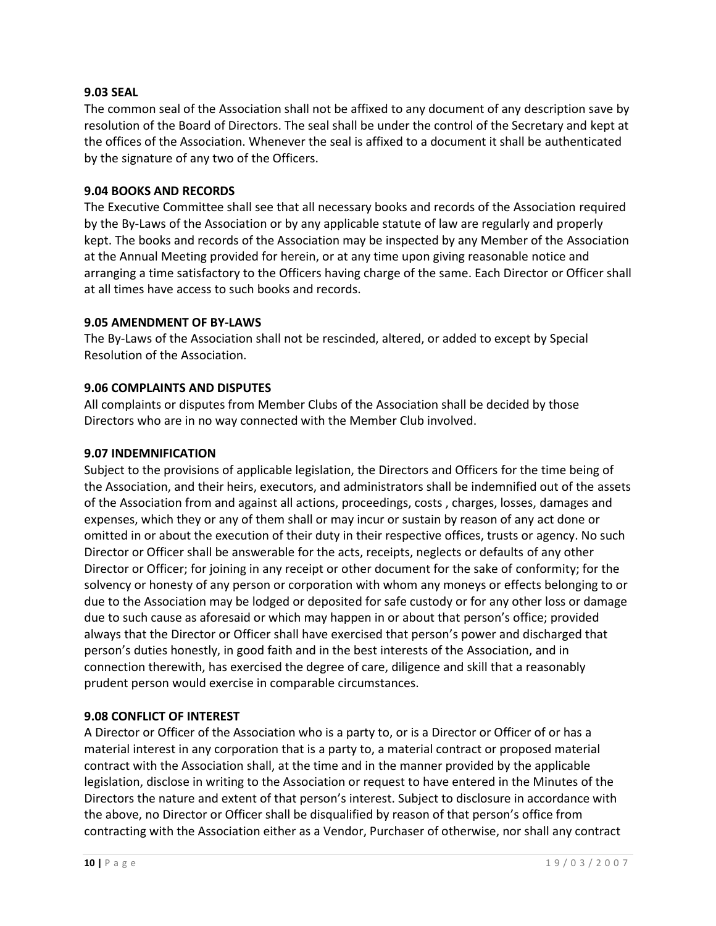### **9.03 SEAL**

The common seal of the Association shall not be affixed to any document of any description save by resolution of the Board of Directors. The seal shall be under the control of the Secretary and kept at the offices of the Association. Whenever the seal is affixed to a document it shall be authenticated by the signature of any two of the Officers.

### **9.04 BOOKS AND RECORDS**

The Executive Committee shall see that all necessary books and records of the Association required by the By-Laws of the Association or by any applicable statute of law are regularly and properly kept. The books and records of the Association may be inspected by any Member of the Association at the Annual Meeting provided for herein, or at any time upon giving reasonable notice and arranging a time satisfactory to the Officers having charge of the same. Each Director or Officer shall at all times have access to such books and records.

#### **9.05 AMENDMENT OF BY-LAWS**

The By-Laws of the Association shall not be rescinded, altered, or added to except by Special Resolution of the Association.

### **9.06 COMPLAINTS AND DISPUTES**

All complaints or disputes from Member Clubs of the Association shall be decided by those Directors who are in no way connected with the Member Club involved.

### **9.07 INDEMNIFICATION**

Subject to the provisions of applicable legislation, the Directors and Officers for the time being of the Association, and their heirs, executors, and administrators shall be indemnified out of the assets of the Association from and against all actions, proceedings, costs , charges, losses, damages and expenses, which they or any of them shall or may incur or sustain by reason of any act done or omitted in or about the execution of their duty in their respective offices, trusts or agency. No such Director or Officer shall be answerable for the acts, receipts, neglects or defaults of any other Director or Officer; for joining in any receipt or other document for the sake of conformity; for the solvency or honesty of any person or corporation with whom any moneys or effects belonging to or due to the Association may be lodged or deposited for safe custody or for any other loss or damage due to such cause as aforesaid or which may happen in or about that person's office; provided always that the Director or Officer shall have exercised that person's power and discharged that person's duties honestly, in good faith and in the best interests of the Association, and in connection therewith, has exercised the degree of care, diligence and skill that a reasonably prudent person would exercise in comparable circumstances.

## **9.08 CONFLICT OF INTEREST**

A Director or Officer of the Association who is a party to, or is a Director or Officer of or has a material interest in any corporation that is a party to, a material contract or proposed material contract with the Association shall, at the time and in the manner provided by the applicable legislation, disclose in writing to the Association or request to have entered in the Minutes of the Directors the nature and extent of that person's interest. Subject to disclosure in accordance with the above, no Director or Officer shall be disqualified by reason of that person's office from contracting with the Association either as a Vendor, Purchaser of otherwise, nor shall any contract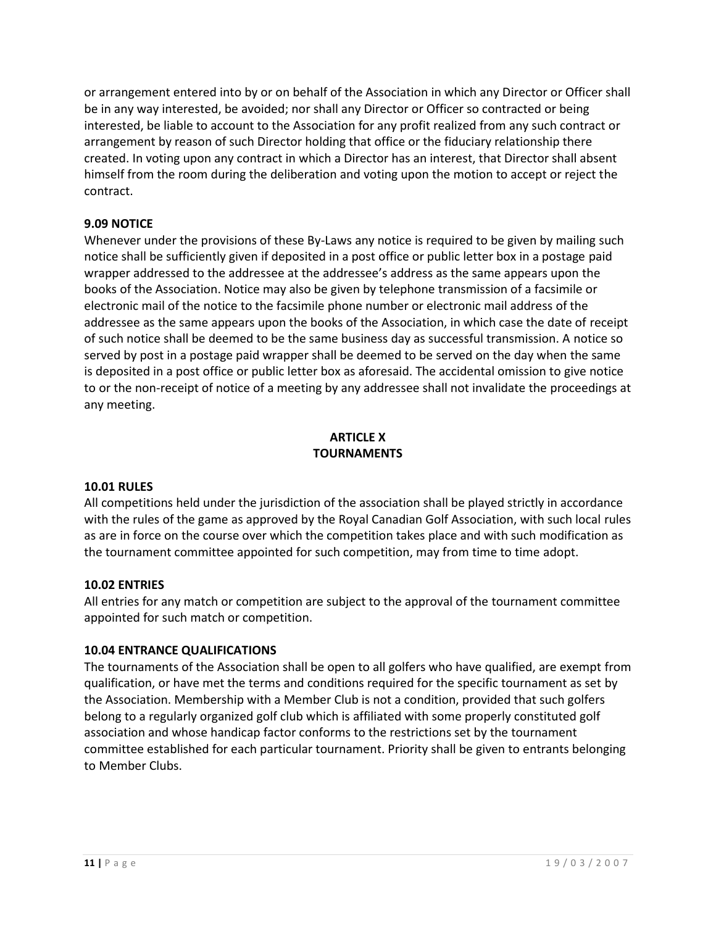or arrangement entered into by or on behalf of the Association in which any Director or Officer shall be in any way interested, be avoided; nor shall any Director or Officer so contracted or being interested, be liable to account to the Association for any profit realized from any such contract or arrangement by reason of such Director holding that office or the fiduciary relationship there created. In voting upon any contract in which a Director has an interest, that Director shall absent himself from the room during the deliberation and voting upon the motion to accept or reject the contract.

# **9.09 NOTICE**

Whenever under the provisions of these By-Laws any notice is required to be given by mailing such notice shall be sufficiently given if deposited in a post office or public letter box in a postage paid wrapper addressed to the addressee at the addressee's address as the same appears upon the books of the Association. Notice may also be given by telephone transmission of a facsimile or electronic mail of the notice to the facsimile phone number or electronic mail address of the addressee as the same appears upon the books of the Association, in which case the date of receipt of such notice shall be deemed to be the same business day as successful transmission. A notice so served by post in a postage paid wrapper shall be deemed to be served on the day when the same is deposited in a post office or public letter box as aforesaid. The accidental omission to give notice to or the non-receipt of notice of a meeting by any addressee shall not invalidate the proceedings at any meeting.

# **ARTICLE X TOURNAMENTS**

#### **10.01 RULES**

All competitions held under the jurisdiction of the association shall be played strictly in accordance with the rules of the game as approved by the Royal Canadian Golf Association, with such local rules as are in force on the course over which the competition takes place and with such modification as the tournament committee appointed for such competition, may from time to time adopt.

## **10.02 ENTRIES**

All entries for any match or competition are subject to the approval of the tournament committee appointed for such match or competition.

## **10.04 ENTRANCE QUALIFICATIONS**

The tournaments of the Association shall be open to all golfers who have qualified, are exempt from qualification, or have met the terms and conditions required for the specific tournament as set by the Association. Membership with a Member Club is not a condition, provided that such golfers belong to a regularly organized golf club which is affiliated with some properly constituted golf association and whose handicap factor conforms to the restrictions set by the tournament committee established for each particular tournament. Priority shall be given to entrants belonging to Member Clubs.